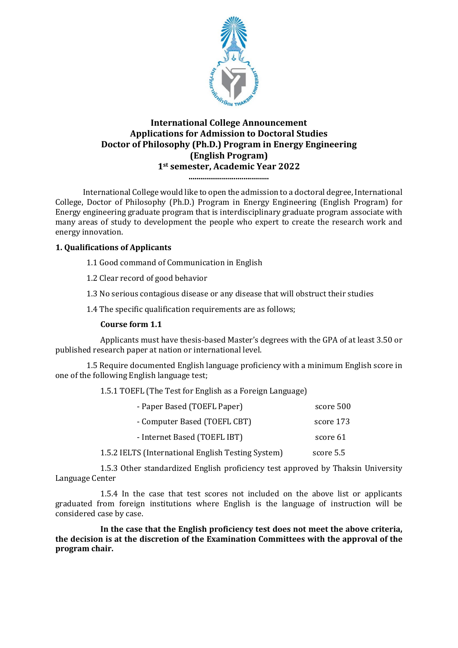

# **International College Announcement Applications for Admission to Doctoral Studies Doctor of Philosophy (Ph.D.) Program in Energy Engineering (English Program) 1st semester, Academic Year 2022**

**.........................................**

International College would like to open the admission to a doctoral degree, International College, Doctor of Philosophy (Ph.D.) Program in Energy Engineering (English Program) for Energy engineering graduate program that is interdisciplinary graduate program associate with many areas of study to development the people who expert to create the research work and energy innovation.

# **1. Qualifications of Applicants**

- 1.1 Good command of Communication in English
- 1.2 Clear record of good behavior
- 1.3 No serious contagious disease or any disease that will obstruct their studies
- 1.4 The specific qualification requirements are as follows;

## **Course form 1.1**

Applicants must have thesis-based Master's degrees with the GPA of at least 3.50 or published research paper at nation or international level.

1.5 Require documented English language proficiency with a minimum English score in one of the following English language test;

1.5.1 TOEFL (The Test for English as a Foreign Language)

| - Paper Based (TOEFL Paper)                        | score 500 |
|----------------------------------------------------|-----------|
| - Computer Based (TOEFL CBT)                       | score 173 |
| - Internet Based (TOEFL IBT)                       | score 61  |
| 1.5.2 IELTS (International English Testing System) | score 5.5 |

1.5.3 Other standardized English proficiency test approved by Thaksin University Language Center

1.5.4 In the case that test scores not included on the above list or applicants graduated from foreign institutions where English is the language of instruction will be considered case by case.

**In the case that the English proficiency test does not meet the above criteria, the decision is at the discretion of the Examination Committees with the approval of the program chair.**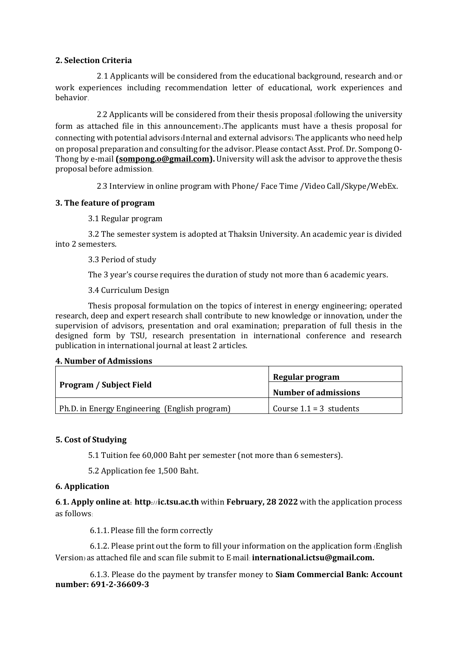## **2. Selection Criteria**

2.1 Applicants will be considered from the educational background, research and/or work experiences including recommendation letter of educational, work experiences and behavior.

2.2 Applicants will be considered from their thesis proposal (following the university form as attached file in this announcement) .The applicants must have a thesis proposal for connecting with potential advisors (Internal and external advisors). The applicants who need help on proposal preparation and consulting for the advisor. Please contact Asst. Prof. Dr. Sompong O-Thong by e-mail **[\(sompong.o@gmail.com\)](mailto:sompong.o@gmail.com).** University will ask the advisor to approve the thesis proposal before admission.

2.3 Interview in online program with Phone/ Face Time /Video Call/Skype/WebEx.

## **3. The feature of program**

3.1 Regular program

3.2 The semester system is adopted at Thaksin University. An academic year is divided into 2 semesters.

3.3 Period of study

The 3 year's course requires the duration of study not more than 6 academic years.

3.4 Curriculum Design

Thesis proposal formulation on the topics of interest in energy engineering; operated research, deep and expert research shall contribute to new knowledge or innovation, under the supervision of advisors, presentation and oral examination; preparation of full thesis in the designed form by TSU, research presentation in international conference and research publication in international journal at least 2 articles.

#### **4. Number of Admissions**

|                                               | Regular program             |
|-----------------------------------------------|-----------------------------|
| <b>Program / Subject Field</b>                | <b>Number of admissions</b> |
| Ph.D. in Energy Engineering (English program) | Course $1.1 = 3$ students   |

## **5. Cost of Studying**

5.1 Tuition fee 60,000 Baht per semester (not more than 6 semesters).

5.2 Application fee 1,500 Baht.

### **6. Application**

**6.1. Apply online at: http://ic.tsu.ac.th** within **February, 28 2022** with the application process as follows:

6.1.1. Please fill the form correctly

6.1.2. Please print out the form to fill your information on the application form (English Version) as attached file and scan file submit to E-mail: **international.ictsu@gmail.com.**

6.1.3. Please do the payment by transfer money to **Siam Commercial Bank: Account number: 691-2-36609-3**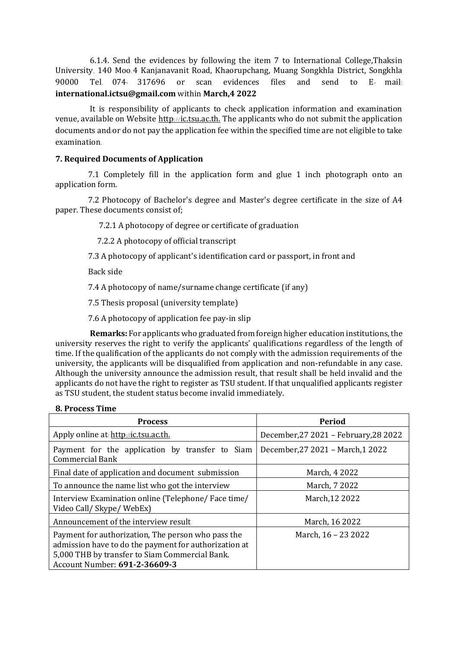6.1.4. Send the evidences by following the item 7 to International College,Thaksin University. 140 Moo.4 Kanjanavanit Road, Khaorupchang, Muang Songkhla District, Songkhla 90000 Tel. 074- 317696 or scan evidences files and send to E- mail: **international.ictsu@gmail.com** within **March,4 2022** 

It is responsibility of applicants to check application information and examination venue, available on Website [http](http://admission.tsu.ac.th/)://ic.tsu.ac.th. The applicants who do not submit the application documents and/or do not pay the application fee within the specified time are not eligible to take examination.

## **7. Required Documents of Application**

7.1 Completely fill in the application form and glue 1 inch photograph onto an application form.

7.2 Photocopy of Bachelor's degree and Master's degree certificate in the size of A4 paper. These documents consist of;

7.2.1 A photocopy of degree or certificate of graduation

7.2.2 A photocopy of official transcript

7.3 A photocopy of applicant's identification card or passport, in front and

Back side

7.4 A photocopy of name/surname change certificate (if any)

7.5 Thesis proposal (university template)

7.6 A photocopy of application fee pay-in slip

**Remarks:** For applicants who graduated from foreign higher education institutions, the university reserves the right to verify the applicants' qualifications regardless of the length of time. If the qualification of the applicants do not comply with the admission requirements of the university, the applicants will be disqualified from application and non-refundable in any case. Although the university announce the admission result, that result shall be held invalid and the applicants do not have the right to register as TSU student. If that unqualified applicants register as TSU student, the student status become invalid immediately.

#### **8. Process Time**

| <b>Process</b>                                                                                                                                                                                 | Period                                |
|------------------------------------------------------------------------------------------------------------------------------------------------------------------------------------------------|---------------------------------------|
| Apply online at http://ic.tsu.ac.th.                                                                                                                                                           | December, 27 2021 - February, 28 2022 |
| Payment for the application by transfer to Siam<br><b>Commercial Bank</b>                                                                                                                      | December, 27 2021 - March, 1 2022     |
| Final date of application and document submission                                                                                                                                              | March, 4 2022                         |
| To announce the name list who got the interview                                                                                                                                                | March, 7 2022                         |
| Interview Examination online (Telephone/Face time/<br>Video Call/ Skype/ WebEx)                                                                                                                | March, 12 2022                        |
| Announcement of the interview result                                                                                                                                                           | March, 16 2022                        |
| Payment for authorization, The person who pass the<br>admission have to do the payment for authorization at<br>5,000 THB by transfer to Siam Commercial Bank.<br>Account Number: 691-2-36609-3 | March, 16 - 23 2022                   |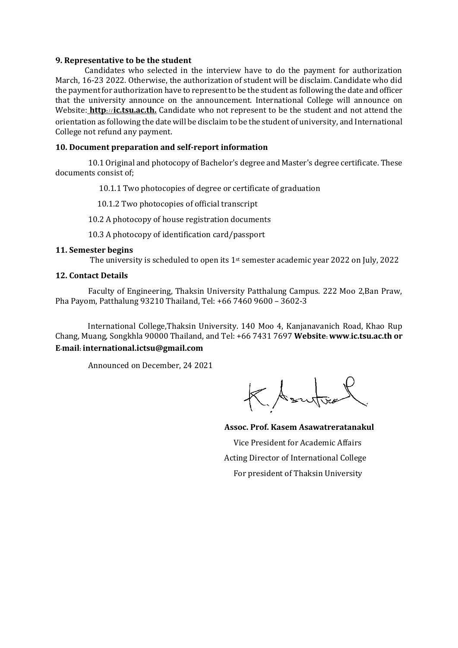#### **9. Representative to be the student**

Candidates who selected in the interview have to do the payment for authorization March, 16-23 2022. Otherwise, the authorization of student will be disclaim. Candidate who did the payment for authorization have to represent to be the student as following the date and officer that the university announce on the announcement. International College will announce on Website: **[http](http://admission.tsu.ac.th/)**://**ic.tsu.ac.th.** Candidate who not represent to be the student and not attend the orientation as following the date will be disclaim to be the student of university, and International College not refund any payment.

### **10. Document preparation and self-report information**

10.1 Original and photocopy of Bachelor's degree and Master's degree certificate. These documents consist of;

10.1.1 Two photocopies of degree or certificate of graduation

10.1.2 Two photocopies of official transcript

10.2 A photocopy of house registration documents

10.3 A photocopy of identification card/passport

#### **11. Semester begins**

The university is scheduled to open its 1<sup>st</sup> semester academic year 2022 on July, 2022

#### **12. Contact Details**

Faculty of Engineering, Thaksin University Patthalung Campus. 222 Moo 2,Ban Praw, Pha Payom, Patthalung 93210 Thailand, Tel: +66 7460 9600 – 3602-3

International College,Thaksin University. 140 Moo 4, Kanjanavanich Road, Khao Rup Chang, Muang, Songkhla 90000 Thailand, and Tel: +66 7431 7697 **Website: www.ic.tsu.ac.th or E-mail: international.ictsu@gmail.com**

Announced on December, 24 2021

KAsutos

**Assoc. Prof. Kasem Asawatreratanakul**  Vice President for Academic Affairs Acting Director of International College For president of Thaksin University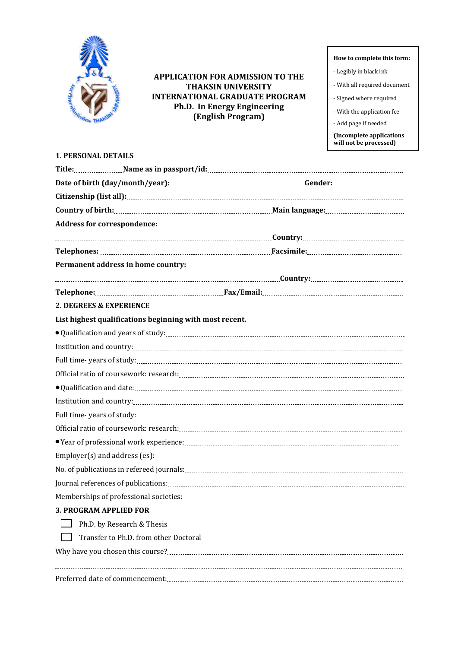

## **APPLICATION FOR ADMISSION TO THE THAKSIN UNIVERSITY INTERNATIONAL GRADUATE PROGRAM Ph.D. In Energy Engineering (English Program)**

#### **How to complete this form:**

- Legibly in black ink
- With all required document
- Signed where required
- With the application fee
- Add page if needed

**(Incomplete applications will not be processed)**

## **1. PERSONAL DETAILS**

|                               | Telephone: material material material material material material material material material material material m |
|-------------------------------|-----------------------------------------------------------------------------------------------------------------|
| 2. DEGREES & EXPERIENCE       |                                                                                                                 |
|                               | List highest qualifications beginning with most recent.                                                         |
|                               |                                                                                                                 |
|                               |                                                                                                                 |
|                               |                                                                                                                 |
|                               |                                                                                                                 |
|                               |                                                                                                                 |
|                               |                                                                                                                 |
|                               |                                                                                                                 |
|                               |                                                                                                                 |
|                               |                                                                                                                 |
|                               |                                                                                                                 |
|                               |                                                                                                                 |
|                               |                                                                                                                 |
|                               |                                                                                                                 |
| <b>3. PROGRAM APPLIED FOR</b> |                                                                                                                 |
|                               | Ph.D. by Research & Thesis                                                                                      |
|                               | Transfer to Ph.D. from other Doctoral                                                                           |
|                               |                                                                                                                 |
|                               |                                                                                                                 |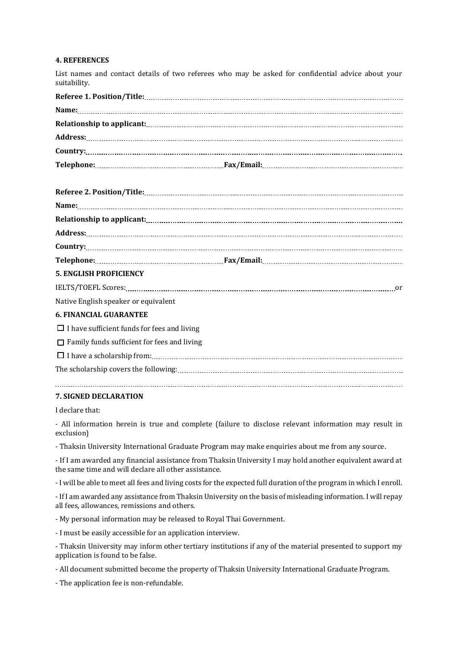#### **4. REFERENCES**

List names and contact details of two referees who may be asked for confidential advice about your suitability.

|                                      | $Country: \begin{tabular}{cccccc} \textbf{Country:} & \textbf{0} & \textbf{0} & \textbf{0} & \textbf{0} & \textbf{0} & \textbf{0} & \textbf{0} & \textbf{0} & \textbf{0} & \textbf{0} & \textbf{0} & \textbf{0} & \textbf{0} & \textbf{0} & \textbf{0} & \textbf{0} & \textbf{0} & \textbf{0} & \textbf{0} & \textbf{0} & \textbf{0} & \textbf{0} & \textbf{0} & \textbf{0} & \textbf{0} & \textbf{0} & \textbf{0} & \textbf{0} & \textbf{0$ |
|--------------------------------------|----------------------------------------------------------------------------------------------------------------------------------------------------------------------------------------------------------------------------------------------------------------------------------------------------------------------------------------------------------------------------------------------------------------------------------------------|
|                                      |                                                                                                                                                                                                                                                                                                                                                                                                                                              |
| <b>5. ENGLISH PROFICIENCY</b>        |                                                                                                                                                                                                                                                                                                                                                                                                                                              |
|                                      |                                                                                                                                                                                                                                                                                                                                                                                                                                              |
| Native English speaker or equivalent |                                                                                                                                                                                                                                                                                                                                                                                                                                              |
| <b>6. FINANCIAL GUARANTEE</b>        |                                                                                                                                                                                                                                                                                                                                                                                                                                              |

 $\Box$  I have sufficient funds for fees and living

 $\Box$  Family funds sufficient for fees and living

 I have a scholarship from: The scholarship covers the following: 

#### **7. SIGNED DECLARATION**

I declare that:

- All information herein is true and complete (failure to disclose relevant information may result in exclusion)

- Thaksin University International Graduate Program may make enquiries about me from any source.

- If I am awarded any financial assistance from Thaksin University I may hold another equivalent award at the same time and will declare all other assistance.

- I will be able to meet all fees and living costs for the expected full duration of the program in which I enroll.

- If I am awarded any assistance from Thaksin University on the basis of misleading information. I will repay all fees, allowances, remissions and others.

- My personal information may be released to Royal Thai Government.

- I must be easily accessible for an application interview.

- Thaksin University may inform other tertiary institutions if any of the material presented to support my application is found to be false.

- All document submitted become the property of Thaksin University International Graduate Program.

- The application fee is non-refundable.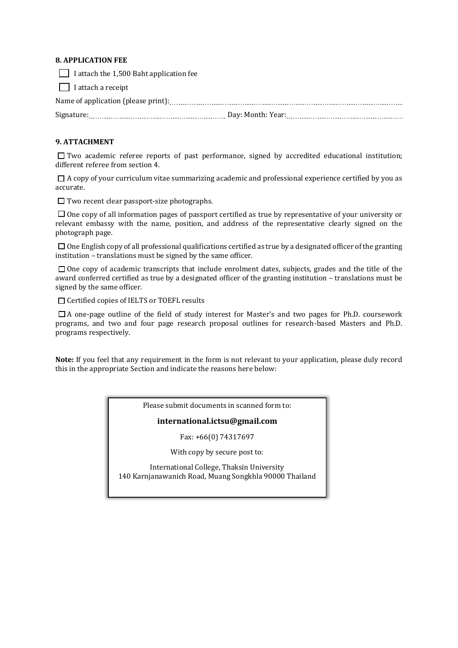#### **8. APPLICATION FEE**

I attach the  $1,500$  Baht application fee

 $\Box$  I attach a receipt

## **9. ATTACHMENT**

 $\Box$  Two academic referee reports of past performance, signed by accredited educational institution; different referee from section 4.

 $\Box$  A copy of your curriculum vitae summarizing academic and professional experience certified by you as accurate.

 $\Box$  Two recent clear passport-size photographs.

 $\square$  One copy of all information pages of passport certified as true by representative of your university or relevant embassy with the name, position, and address of the representative clearly signed on the photograph page.

 $\square$  One English copy of all professional qualifications certified as true by a designated officer of the granting institution – translations must be signed by the same officer.

 $\square$  One copy of academic transcripts that include enrolment dates, subjects, grades and the title of the award conferred certified as true by a designated officer of the granting institution – translations must be signed by the same officer.

□ Certified copies of IELTS or TOEFL results

 A one-page outline of the field of study interest for Master's and two pages for Ph.D. coursework programs, and two and four page research proposal outlines for research-based Masters and Ph.D. programs respectively.

**Note:** If you feel that any requirement in the form is not relevant to your application, please duly record this in the appropriate Section and indicate the reasons here below:

Please submit documents in scanned form to:

#### **international.ictsu@gmail.com**

Fax: +66(0) 74317697

With copy by secure post to:

International College, Thaksin University 140 Karnjanawanich Road, Muang Songkhla 90000 Thailand